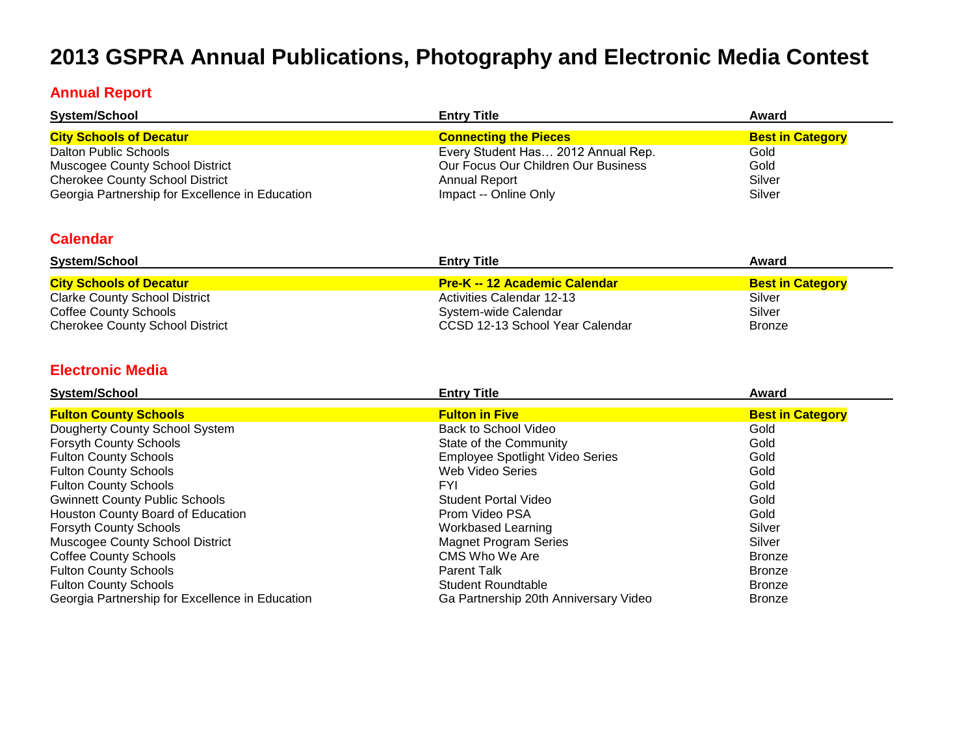# **2013 GSPRA Annual Publications, Photography and Electronic Media Contest**

#### **Annual Report**

| <b>System/School</b>                            | <b>Entry Title</b>                  | Award                   |
|-------------------------------------------------|-------------------------------------|-------------------------|
| <b>City Schools of Decatur</b>                  | <b>Connecting the Pieces</b>        | <b>Best in Category</b> |
| Dalton Public Schools                           | Every Student Has 2012 Annual Rep.  | Gold                    |
| <b>Muscogee County School District</b>          | Our Focus Our Children Our Business | Gold                    |
| <b>Cherokee County School District</b>          | Annual Report                       | Silver                  |
| Georgia Partnership for Excellence in Education | Impact -- Online Only               | Silver                  |

#### **Calendar**

| System/School                          | <b>Entry Title</b>                   | Award                   |
|----------------------------------------|--------------------------------------|-------------------------|
| <b>City Schools of Decatur</b>         | <b>Pre-K -- 12 Academic Calendar</b> | <b>Best in Category</b> |
| <b>Clarke County School District</b>   | Activities Calendar 12-13            | Silver                  |
| Coffee County Schools                  | System-wide Calendar                 | Silver                  |
| <b>Cherokee County School District</b> | CCSD 12-13 School Year Calendar      | <b>Bronze</b>           |

#### **Electronic Media**

| <b>System/School</b>                            | <b>Entry Title</b>                     | Award                   |
|-------------------------------------------------|----------------------------------------|-------------------------|
| <b>Fulton County Schools</b>                    | <b>Fulton in Five</b>                  | <b>Best in Category</b> |
| Dougherty County School System                  | Back to School Video                   | Gold                    |
| <b>Forsyth County Schools</b>                   | State of the Community                 | Gold                    |
| <b>Fulton County Schools</b>                    | <b>Employee Spotlight Video Series</b> | Gold                    |
| <b>Fulton County Schools</b>                    | Web Video Series                       | Gold                    |
| <b>Fulton County Schools</b>                    | FYI.                                   | Gold                    |
| <b>Gwinnett County Public Schools</b>           | Student Portal Video                   | Gold                    |
| Houston County Board of Education               | Prom Video PSA                         | Gold                    |
| <b>Forsyth County Schools</b>                   | Workbased Learning                     | Silver                  |
| Muscogee County School District                 | <b>Magnet Program Series</b>           | Silver                  |
| <b>Coffee County Schools</b>                    | CMS Who We Are                         | <b>Bronze</b>           |
| <b>Fulton County Schools</b>                    | <b>Parent Talk</b>                     | <b>Bronze</b>           |
| <b>Fulton County Schools</b>                    | <b>Student Roundtable</b>              | <b>Bronze</b>           |
| Georgia Partnership for Excellence in Education | Ga Partnership 20th Anniversary Video  | <b>Bronze</b>           |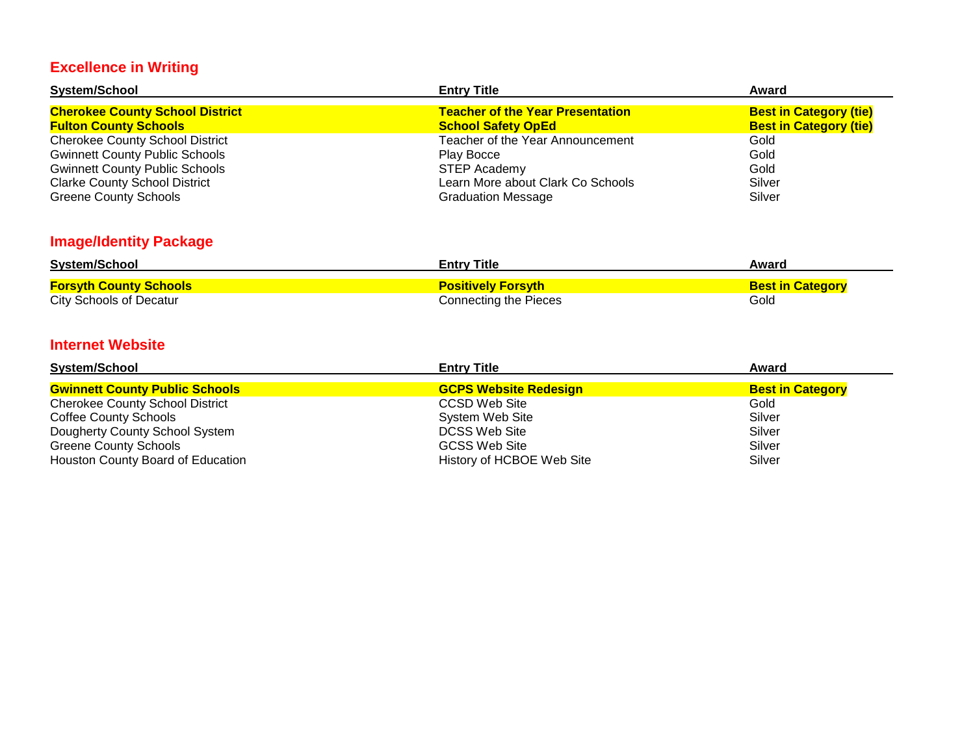# **Excellence in Writing**

| <b>System/School</b>                   | <b>Entry Title</b>                      | Award                         |
|----------------------------------------|-----------------------------------------|-------------------------------|
| <b>Cherokee County School District</b> | <b>Teacher of the Year Presentation</b> | <b>Best in Category (tie)</b> |
| <b>Fulton County Schools</b>           | <b>School Safety OpEd</b>               | <b>Best in Category (tie)</b> |
| <b>Cherokee County School District</b> | Teacher of the Year Announcement        | Gold                          |
| <b>Gwinnett County Public Schools</b>  | Play Bocce                              | Gold                          |
| <b>Gwinnett County Public Schools</b>  | <b>STEP Academy</b>                     | Gold                          |
| <b>Clarke County School District</b>   | Learn More about Clark Co Schools       | Silver                        |
| <b>Greene County Schools</b>           | <b>Graduation Message</b>               | Silver                        |

# **Image/Identity Package**

| <b>System/School</b>          | <b>Entry Title</b>        | Award                   |
|-------------------------------|---------------------------|-------------------------|
| <u>Forsyth County Schools</u> | <b>Positively Forsyth</b> | <b>Best in Category</b> |
| City Schools of Decatur       | Connecting the Pieces     | Gold                    |

#### **Internet Website**

| <b>System/School</b>                   | <b>Entry Title</b>           | Award                   |
|----------------------------------------|------------------------------|-------------------------|
| <b>Gwinnett County Public Schools</b>  | <b>GCPS Website Redesign</b> | <b>Best in Category</b> |
| <b>Cherokee County School District</b> | CCSD Web Site                | Gold                    |
| <b>Coffee County Schools</b>           | System Web Site              | Silver                  |
| Dougherty County School System         | DCSS Web Site                | Silver                  |
| <b>Greene County Schools</b>           | <b>GCSS Web Site</b>         | Silver                  |
| Houston County Board of Education      | History of HCBOE Web Site    | Silver                  |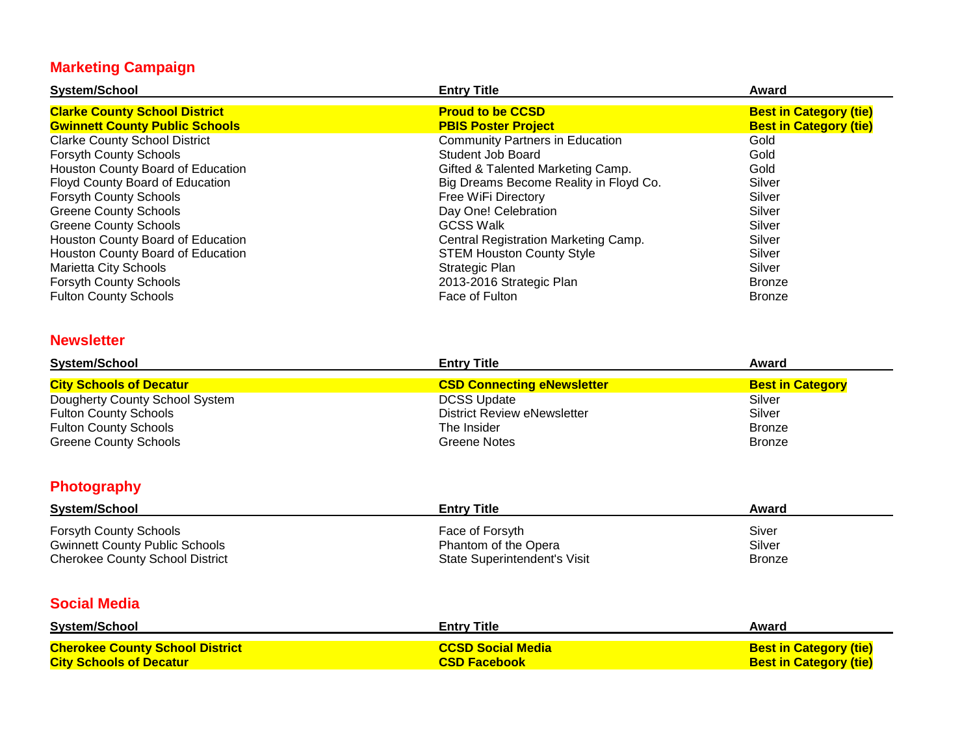# **Marketing Campaign**

| <b>System/School</b>                  | <b>Entry Title</b>                     | Award                         |
|---------------------------------------|----------------------------------------|-------------------------------|
| <b>Clarke County School District</b>  | <b>Proud to be CCSD</b>                | <b>Best in Category (tie)</b> |
| <b>Gwinnett County Public Schools</b> | <b>PBIS Poster Project</b>             | <b>Best in Category (tie)</b> |
| <b>Clarke County School District</b>  | <b>Community Partners in Education</b> | Gold                          |
| <b>Forsyth County Schools</b>         | Student Job Board                      | Gold                          |
| Houston County Board of Education     | Gifted & Talented Marketing Camp.      | Gold                          |
| Floyd County Board of Education       | Big Dreams Become Reality in Floyd Co. | Silver                        |
| <b>Forsyth County Schools</b>         | Free WiFi Directory                    | Silver                        |
| <b>Greene County Schools</b>          | Day One! Celebration                   | Silver                        |
| <b>Greene County Schools</b>          | <b>GCSS Walk</b>                       | Silver                        |
| Houston County Board of Education     | Central Registration Marketing Camp.   | Silver                        |
| Houston County Board of Education     | <b>STEM Houston County Style</b>       | Silver                        |
| Marietta City Schools                 | Strategic Plan                         | Silver                        |
| <b>Forsyth County Schools</b>         | 2013-2016 Strategic Plan               | <b>Bronze</b>                 |
| <b>Fulton County Schools</b>          | Face of Fulton                         | <b>Bronze</b>                 |

#### **Newsletter**

| System/School                  | <b>Entry Title</b>                 | Award                   |
|--------------------------------|------------------------------------|-------------------------|
| <b>City Schools of Decatur</b> | <b>CSD Connecting eNewsletter</b>  | <b>Best in Category</b> |
| Dougherty County School System | <b>DCSS Update</b>                 | Silver                  |
| <b>Fulton County Schools</b>   | <b>District Review eNewsletter</b> | Silver                  |
| <b>Fulton County Schools</b>   | The Insider                        | <b>Bronze</b>           |
| <b>Greene County Schools</b>   | Greene Notes                       | <b>Bronze</b>           |

# **Photography**

| <b>System/School</b>                   | <b>Entry Title</b>           | Award         |
|----------------------------------------|------------------------------|---------------|
| <b>Forsyth County Schools</b>          | Face of Forsyth              | Siver         |
| <b>Gwinnett County Public Schools</b>  | Phantom of the Opera         | Silver        |
| <b>Cherokee County School District</b> | State Superintendent's Visit | <b>Bronze</b> |

#### **Social Media**

| <b>System/School</b>                   | <b>Entry Title</b>       | Award                         |
|----------------------------------------|--------------------------|-------------------------------|
| <b>Cherokee County School District</b> | <b>CCSD Social Media</b> | <b>Best in Category (tie)</b> |
| <b>City Schools of Decatur</b>         | <b>CSD Facebook</b>      | <b>Best in Category (tie)</b> |